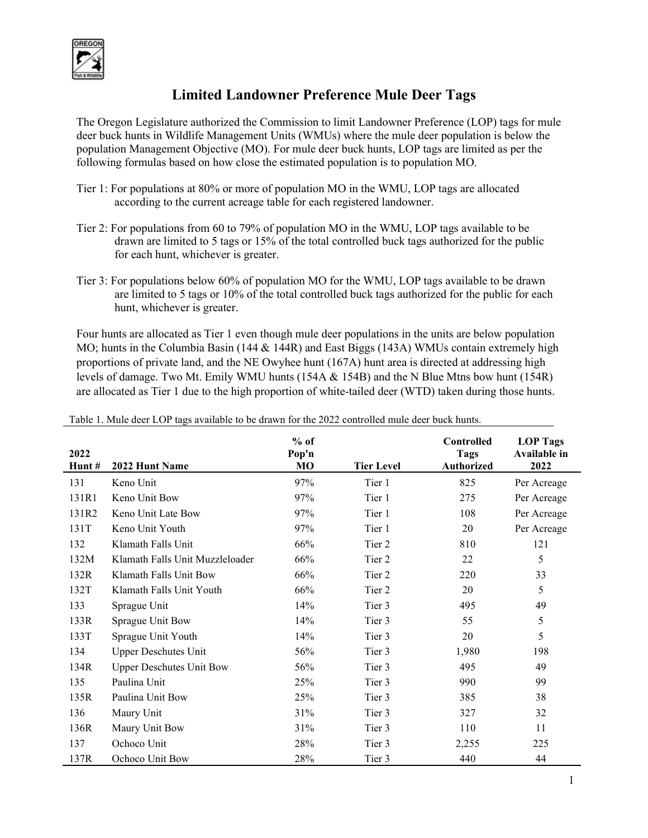

## **Limited Landowner Preference Mule Deer Tags**

The Oregon Legislature authorized the Commission to limit Landowner Preference (LOP) tags for mule deer buck hunts in Wildlife Management Units (WMUs) where the mule deer population is below the population Management Objective (MO). For mule deer buck hunts, LOP tags are limited as per the following formulas based on how close the estimated population is to population MO.

- Tier 1: For populations at 80% or more of population MO in the WMU, LOP tags are allocated according to the current acreage table for each registered landowner.
- Tier 2: For populations from 60 to 79% of population MO in the WMU, LOP tags available to be drawn are limited to 5 tags or 15% of the total controlled buck tags authorized for the public for each hunt, whichever is greater.
- Tier 3: For populations below 60% of population MO for the WMU, LOP tags available to be drawn are limited to 5 tags or 10% of the total controlled buck tags authorized for the public for each hunt, whichever is greater.

Four hunts are allocated as Tier 1 even though mule deer populations in the units are below population MO; hunts in the Columbia Basin (144 & 144R) and East Biggs (143A) WMUs contain extremely high proportions of private land, and the NE Owyhee hunt (167A) hunt area is directed at addressing high levels of damage. Two Mt. Emily WMU hunts (154A & 154B) and the N Blue Mtns bow hunt (154R) are allocated as Tier 1 due to the high proportion of white-tailed deer (WTD) taken during those hunts.

| 2022<br>Hunt# | 2022 Hunt Name                  | $%$ of<br>Pop'n<br>MO | <b>Tier Level</b> | <b>Controlled</b><br><b>Tags</b><br><b>Authorized</b> | <b>LOP</b> Tags<br><b>Available in</b><br>2022 |
|---------------|---------------------------------|-----------------------|-------------------|-------------------------------------------------------|------------------------------------------------|
| 131           | Keno Unit                       | 97%                   | Tier 1            | 825                                                   | Per Acreage                                    |
| 131R1         | Keno Unit Bow                   | 97%                   | Tier 1            | 275                                                   | Per Acreage                                    |
| 131R2         | Keno Unit Late Bow              | 97%                   | Tier 1            | 108                                                   | Per Acreage                                    |
| 131T          | Keno Unit Youth                 | 97%                   | Tier 1            | 20                                                    | Per Acreage                                    |
| 132           | Klamath Falls Unit              | 66%                   | Tier 2            | 810                                                   | 121                                            |
| 132M          | Klamath Falls Unit Muzzleloader | 66%                   | Tier 2            | 22                                                    | 5                                              |
| 132R          | Klamath Falls Unit Bow          | 66%                   | Tier 2            | 220                                                   | 33                                             |
| 132T          | Klamath Falls Unit Youth        | 66%                   | Tier 2            | 20                                                    | 5                                              |
| 133           | Sprague Unit                    | 14%                   | Tier 3            | 495                                                   | 49                                             |
| 133R          | Sprague Unit Bow                | 14%                   | Tier 3            | 55                                                    | 5                                              |
| 133T          | Sprague Unit Youth              | 14%                   | Tier 3            | 20                                                    | 5                                              |
| 134           | <b>Upper Deschutes Unit</b>     | 56%                   | Tier 3            | 1,980                                                 | 198                                            |
| 134R          | <b>Upper Deschutes Unit Bow</b> | 56%                   | Tier 3            | 495                                                   | 49                                             |
| 135           | Paulina Unit                    | 25%                   | Tier 3            | 990                                                   | 99                                             |
| 135R          | Paulina Unit Bow                | 25%                   | Tier 3            | 385                                                   | 38                                             |
| 136           | Maury Unit                      | 31%                   | Tier 3            | 327                                                   | 32                                             |
| 136R          | Maury Unit Bow                  | 31%                   | Tier 3            | 110                                                   | 11                                             |
| 137           | Ochoco Unit                     | 28%                   | Tier 3            | 2,255                                                 | 225                                            |
| 137R          | Ochoco Unit Bow                 | 28%                   | Tier 3            | 440                                                   | 44                                             |

Table 1. Mule deer LOP tags available to be drawn for the 2022 controlled mule deer buck hunts.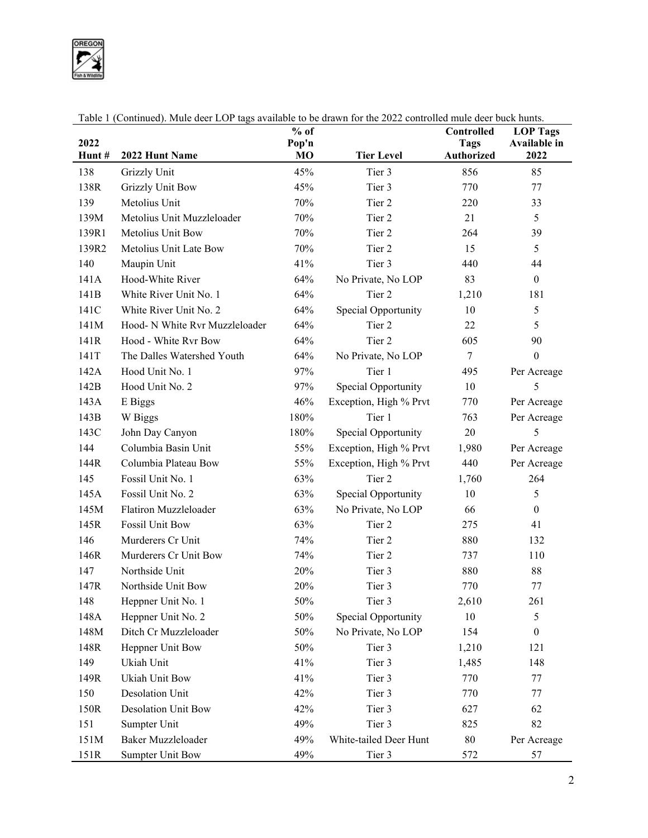OREGON

|       |                                | $%$ of         |                        | Controlled        | <b>LOP Tags</b>  |
|-------|--------------------------------|----------------|------------------------|-------------------|------------------|
| 2022  |                                | Pop'n          |                        | <b>Tags</b>       | Available in     |
| Hunt# | 2022 Hunt Name                 | M <sub>O</sub> | <b>Tier Level</b>      | <b>Authorized</b> | 2022             |
| 138   | Grizzly Unit                   | 45%            | Tier 3                 | 856               | 85               |
| 138R  | <b>Grizzly Unit Bow</b>        | 45%            | Tier 3                 | 770               | 77               |
| 139   | Metolius Unit                  | 70%            | Tier 2                 | 220               | 33               |
| 139M  | Metolius Unit Muzzleloader     | 70%            | Tier 2                 | 21                | 5                |
| 139R1 | Metolius Unit Bow              | 70%            | Tier 2                 | 264               | 39               |
| 139R2 | Metolius Unit Late Bow         | 70%            | Tier 2                 | 15                | 5                |
| 140   | Maupin Unit                    | 41%            | Tier 3                 | 440               | 44               |
| 141A  | Hood-White River               | 64%            | No Private, No LOP     | 83                | $\boldsymbol{0}$ |
| 141B  | White River Unit No. 1         | 64%            | Tier 2                 | 1,210             | 181              |
| 141C  | White River Unit No. 2         | 64%            | Special Opportunity    | 10                | 5                |
| 141M  | Hood- N White Rvr Muzzleloader | 64%            | Tier 2                 | 22                | 5                |
| 141R  | Hood - White Rvr Bow           | 64%            | Tier 2                 | 605               | 90               |
| 141T  | The Dalles Watershed Youth     | 64%            | No Private, No LOP     | 7                 | $\boldsymbol{0}$ |
| 142A  | Hood Unit No. 1                | 97%            | Tier 1                 | 495               | Per Acreage      |
| 142B  | Hood Unit No. 2                | 97%            | Special Opportunity    | 10                | 5                |
| 143A  | E Biggs                        | 46%            | Exception, High % Prvt | 770               | Per Acreage      |
| 143B  | W Biggs                        | 180%           | Tier 1                 | 763               | Per Acreage      |
| 143C  | John Day Canyon                | 180%           | Special Opportunity    | 20                | 5                |
| 144   | Columbia Basin Unit            | 55%            | Exception, High % Prvt | 1,980             | Per Acreage      |
| 144R  | Columbia Plateau Bow           | 55%            | Exception, High % Prvt | 440               | Per Acreage      |
| 145   | Fossil Unit No. 1              | 63%            | Tier 2                 | 1,760             | 264              |
| 145A  | Fossil Unit No. 2              | 63%            | Special Opportunity    | 10                | 5                |
| 145M  | Flatiron Muzzleloader          | 63%            | No Private, No LOP     | 66                | $\mathbf{0}$     |
| 145R  | <b>Fossil Unit Bow</b>         | 63%            | Tier 2                 | 275               | 41               |
| 146   | Murderers Cr Unit              | 74%            | Tier 2                 | 880               | 132              |
| 146R  | Murderers Cr Unit Bow          | 74%            | Tier 2                 | 737               | 110              |
| 147   | Northside Unit                 | 20%            | Tier 3                 | 880               | 88               |
| 147R  | Northside Unit Bow             | 20%            | Tier 3                 | 770               | 77               |
| 148   | Heppner Unit No. 1             | 50%            | Tier 3                 | 2,610             | 261              |
| 148A  | Heppner Unit No. 2             | 50%            | Special Opportunity    | 10                | 5                |
| 148M  | Ditch Cr Muzzleloader          | 50%            | No Private, No LOP     | 154               | $\boldsymbol{0}$ |
| 148R  | Heppner Unit Bow               | $50\%$         | Tier 3                 | 1,210             | 121              |
| 149   | Ukiah Unit                     | 41%            | Tier 3                 | 1,485             | 148              |
| 149R  | Ukiah Unit Bow                 | 41%            | Tier 3                 | 770               | 77               |
| 150   | Desolation Unit                | 42%            | Tier 3                 | 770               | 77               |
| 150R  | <b>Desolation Unit Bow</b>     | 42%            | Tier 3                 | 627               | 62               |
| 151   | Sumpter Unit                   | 49%            | Tier 3                 | 825               | 82               |
| 151M  | Baker Muzzleloader             | 49%            | White-tailed Deer Hunt | $80\,$            | Per Acreage      |
| 151R  | <b>Sumpter Unit Bow</b>        | 49%            | Tier 3                 | 572               | 57               |

Table 1 (Continued). Mule deer LOP tags available to be drawn for the 2022 controlled mule deer buck hunts.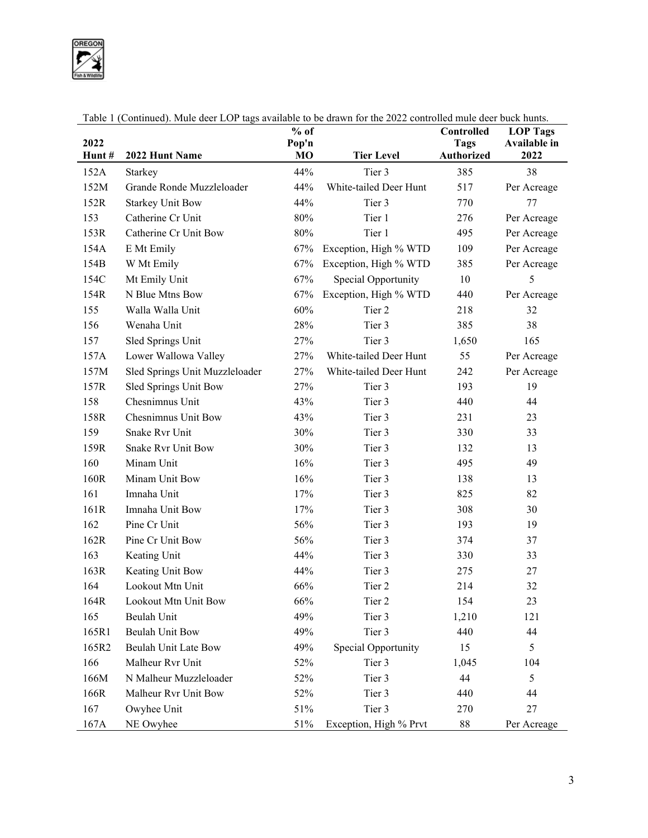OREGON

| 2022  |                                | $%$ of<br>Pop'n |                        | Controlled<br><b>Tags</b> | <b>LOP Tags</b><br><b>Available in</b> |
|-------|--------------------------------|-----------------|------------------------|---------------------------|----------------------------------------|
| Hunt# | 2022 Hunt Name                 | M <sub>O</sub>  | <b>Tier Level</b>      | <b>Authorized</b>         | 2022                                   |
| 152A  | Starkey                        | 44%             | Tier 3                 | 385                       | 38                                     |
| 152M  | Grande Ronde Muzzleloader      | 44%             | White-tailed Deer Hunt | 517                       | Per Acreage                            |
| 152R  | <b>Starkey Unit Bow</b>        | 44%             | Tier 3                 | 770                       | 77                                     |
| 153   | Catherine Cr Unit              | 80%             | Tier 1                 | 276                       | Per Acreage                            |
| 153R  | Catherine Cr Unit Bow          | 80%             | Tier 1                 | 495                       | Per Acreage                            |
| 154A  | E Mt Emily                     | 67%             | Exception, High % WTD  | 109                       | Per Acreage                            |
| 154B  | W Mt Emily                     | 67%             | Exception, High % WTD  | 385                       | Per Acreage                            |
| 154C  | Mt Emily Unit                  | 67%             | Special Opportunity    | 10                        | 5                                      |
| 154R  | N Blue Mtns Bow                | 67%             | Exception, High % WTD  | 440                       | Per Acreage                            |
| 155   | Walla Walla Unit               | 60%             | Tier 2                 | 218                       | 32                                     |
| 156   | Wenaha Unit                    | 28%             | Tier 3                 | 385                       | 38                                     |
| 157   | Sled Springs Unit              | 27%             | Tier 3                 | 1,650                     | 165                                    |
| 157A  | Lower Wallowa Valley           | 27%             | White-tailed Deer Hunt | 55                        | Per Acreage                            |
| 157M  | Sled Springs Unit Muzzleloader | 27%             | White-tailed Deer Hunt | 242                       | Per Acreage                            |
| 157R  | Sled Springs Unit Bow          | 27%             | Tier 3                 | 193                       | 19                                     |
| 158   | Chesnimnus Unit                | 43%             | Tier 3                 | 440                       | 44                                     |
| 158R  | Chesnimnus Unit Bow            | 43%             | Tier 3                 | 231                       | 23                                     |
| 159   | Snake Rvr Unit                 | 30%             | Tier 3                 | 330                       | 33                                     |
| 159R  | <b>Snake Rvr Unit Bow</b>      | 30%             | Tier 3                 | 132                       | 13                                     |
| 160   | Minam Unit                     | 16%             | Tier 3                 | 495                       | 49                                     |
| 160R  | Minam Unit Bow                 | 16%             | Tier 3                 | 138                       | 13                                     |
| 161   | Imnaha Unit                    | 17%             | Tier 3                 | 825                       | 82                                     |
| 161R  | Imnaha Unit Bow                | 17%             | Tier 3                 | 308                       | 30                                     |
| 162   | Pine Cr Unit                   | 56%             | Tier 3                 | 193                       | 19                                     |
| 162R  | Pine Cr Unit Bow               | 56%             | Tier 3                 | 374                       | 37                                     |
| 163   | Keating Unit                   | 44%             | Tier 3                 | 330                       | 33                                     |
| 163R  | Keating Unit Bow               | 44%             | Tier 3                 | 275                       | 27                                     |
| 164   | Lookout Mtn Unit               | 66%             | Tier 2                 | 214                       | 32                                     |
| 164R  | Lookout Mtn Unit Bow           | 66%             | Tier 2                 | 154                       | 23                                     |
| 165   | Beulah Unit                    | 49%             | Tier 3                 | 1,210                     | 121                                    |
| 165R1 | Beulah Unit Bow                | 49%             | Tier 3                 | 440                       | 44                                     |
| 165R2 | Beulah Unit Late Bow           | 49%             | Special Opportunity    | 15                        | 5                                      |
| 166   | Malheur Rvr Unit               | 52%             | Tier 3                 | 1,045                     | 104                                    |
| 166M  | N Malheur Muzzleloader         | 52%             | Tier 3                 | 44                        | 5                                      |
| 166R  | Malheur Rvr Unit Bow           | 52%             | Tier 3                 | 440                       | 44                                     |
| 167   | Owyhee Unit                    | 51%             | Tier 3                 | 270                       | 27                                     |
| 167A  | NE Owyhee                      | 51%             | Exception, High % Prvt | $88\,$                    | Per Acreage                            |

Table 1 (Continued). Mule deer LOP tags available to be drawn for the 2022 controlled mule deer buck hunts.